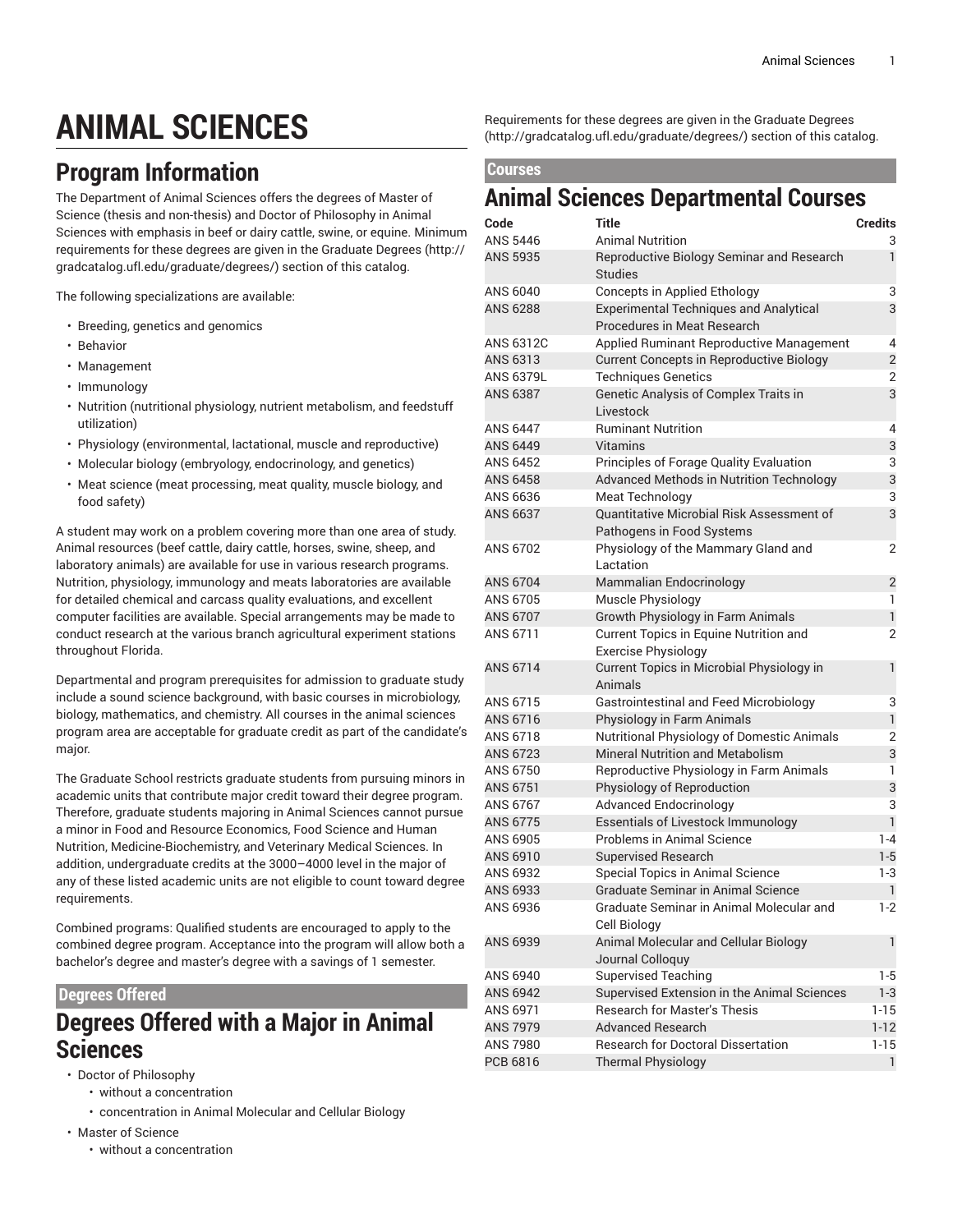# **ANIMAL SCIENCES**

## **Program Information**

The Department of Animal Sciences offers the degrees of Master of Science (thesis and non-thesis) and Doctor of Philosophy in Animal Sciences with emphasis in beef or dairy cattle, swine, or equine. Minimum requirements for these degrees are given in the [Graduate](http://gradcatalog.ufl.edu/graduate/degrees/) Degrees ([http://](http://gradcatalog.ufl.edu/graduate/degrees/) [gradcatalog.ufl.edu/graduate/degrees/\)](http://gradcatalog.ufl.edu/graduate/degrees/) section of this catalog.

The following specializations are available:

- Breeding, genetics and genomics
- Behavior
- Management
- Immunology
- Nutrition (nutritional physiology, nutrient metabolism, and feedstuff utilization)
- Physiology (environmental, lactational, muscle and reproductive)
- Molecular biology (embryology, endocrinology, and genetics)
- Meat science (meat processing, meat quality, muscle biology, and food safety)

A student may work on a problem covering more than one area of study. Animal resources (beef cattle, dairy cattle, horses, swine, sheep, and laboratory animals) are available for use in various research programs. Nutrition, physiology, immunology and meats laboratories are available for detailed chemical and carcass quality evaluations, and excellent computer facilities are available. Special arrangements may be made to conduct research at the various branch agricultural experiment stations throughout Florida.

Departmental and program prerequisites for admission to graduate study include a sound science background, with basic courses in microbiology, biology, mathematics, and chemistry. All courses in the animal sciences program area are acceptable for graduate credit as part of the candidate's major.

The Graduate School restricts graduate students from pursuing minors in academic units that contribute major credit toward their degree program. Therefore, graduate students majoring in Animal Sciences cannot pursue a minor in Food and Resource Economics, Food Science and Human Nutrition, Medicine-Biochemistry, and Veterinary Medical Sciences. In addition, undergraduate credits at the 3000–4000 level in the major of any of these listed academic units are not eligible to count toward degree requirements.

Combined programs: Qualified students are encouraged to apply to the combined degree program. Acceptance into the program will allow both a bachelor's degree and master's degree with a savings of 1 semester.

#### **Degrees Offered**

### **Degrees Offered with a Major in Animal Sciences**

- Doctor of Philosophy
	- without a concentration
	- concentration in Animal Molecular and Cellular Biology
- Master of Science
	- without a concentration

Requirements for these degrees are given in the [Graduate](http://gradcatalog.ufl.edu/graduate/degrees/) Degrees [\(http://gradcatalog.ufl.edu/graduate/degrees/](http://gradcatalog.ufl.edu/graduate/degrees/)) section of this catalog.

#### **Courses**

#### **Animal Sciences Departmental Courses**

| Code             | Title                                                                        | <b>Credits</b> |
|------------------|------------------------------------------------------------------------------|----------------|
| ANS 5446         | <b>Animal Nutrition</b>                                                      | 3              |
| <b>ANS 5935</b>  | Reproductive Biology Seminar and Research<br><b>Studies</b>                  | $\mathbf{1}$   |
| ANS 6040         | <b>Concepts in Applied Ethology</b>                                          | 3              |
| <b>ANS 6288</b>  | <b>Experimental Techniques and Analytical</b><br>Procedures in Meat Research | 3              |
| ANS 6312C        | Applied Ruminant Reproductive Management                                     | 4              |
| ANS 6313         | <b>Current Concepts in Reproductive Biology</b>                              | $\overline{2}$ |
| <b>ANS 6379L</b> | <b>Techniques Genetics</b>                                                   | 2              |
| <b>ANS 6387</b>  | Genetic Analysis of Complex Traits in<br>Livestock                           | 3              |
| ANS 6447         | <b>Ruminant Nutrition</b>                                                    | 4              |
| ANS 6449         | Vitamins                                                                     | 3              |
| ANS 6452         | Principles of Forage Quality Evaluation                                      | 3              |
| ANS 6458         | Advanced Methods in Nutrition Technology                                     | 3              |
| ANS 6636         | <b>Meat Technology</b>                                                       | 3              |
| ANS 6637         | Quantitative Microbial Risk Assessment of                                    | 3              |
|                  | Pathogens in Food Systems                                                    |                |
| ANS 6702         | Physiology of the Mammary Gland and<br>Lactation                             | 2              |
| ANS 6704         | <b>Mammalian Endocrinology</b>                                               | $\overline{2}$ |
| ANS 6705         | Muscle Physiology                                                            | 1              |
| ANS 6707         | Growth Physiology in Farm Animals                                            | $\mathbf{1}$   |
| ANS 6711         | Current Topics in Equine Nutrition and                                       | 2              |
|                  | <b>Exercise Physiology</b>                                                   |                |
| ANS 6714         | Current Topics in Microbial Physiology in<br>Animals                         | 1              |
| ANS 6715         | <b>Gastrointestinal and Feed Microbiology</b>                                | 3              |
| ANS 6716         | Physiology in Farm Animals                                                   | $\mathbf{1}$   |
| ANS 6718         | <b>Nutritional Physiology of Domestic Animals</b>                            | $\overline{2}$ |
| ANS 6723         | <b>Mineral Nutrition and Metabolism</b>                                      | 3              |
| ANS 6750         | Reproductive Physiology in Farm Animals                                      | 1              |
| ANS 6751         | Physiology of Reproduction                                                   | 3              |
| ANS 6767         | <b>Advanced Endocrinology</b>                                                | 3              |
| ANS 6775         | <b>Essentials of Livestock Immunology</b>                                    | $\mathbf{1}$   |
| ANS 6905         | Problems in Animal Science                                                   | $1 - 4$        |
| ANS 6910         | <b>Supervised Research</b>                                                   | $1 - 5$        |
| ANS 6932         | Special Topics in Animal Science                                             | 1-3            |
| ANS 6933         | Graduate Seminar in Animal Science                                           | 1              |
| ANS 6936         | Graduate Seminar in Animal Molecular and<br>Cell Biology                     | 1-2            |
| ANS 6939         | Animal Molecular and Cellular Biology                                        | 1              |
|                  | Journal Colloquy                                                             |                |
| ANS 6940         | <b>Supervised Teaching</b>                                                   | 1-5            |
| ANS 6942         | Supervised Extension in the Animal Sciences                                  | $1 - 3$        |
| ANS 6971         | <b>Research for Master's Thesis</b>                                          | $1 - 15$       |
| <b>ANS 7979</b>  | <b>Advanced Research</b>                                                     | $1 - 12$       |
| ANS 7980         | <b>Research for Doctoral Dissertation</b>                                    | $1 - 15$       |
| PCB 6816         | <b>Thermal Physiology</b>                                                    | $\mathbf{1}$   |